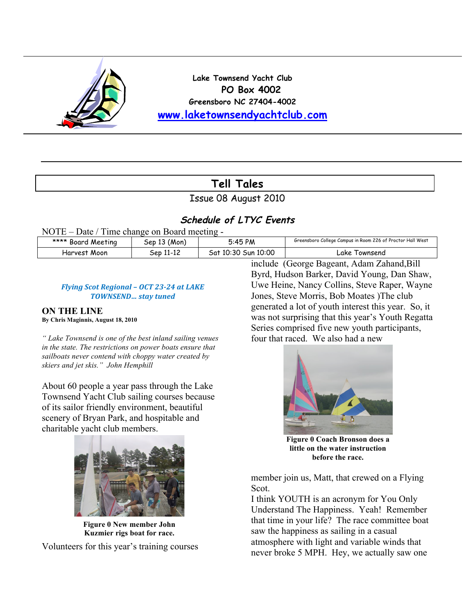

**Lake Townsend Yacht Club PO Box 4002 Greensboro NC 27404-4002 www.laketownsendyachtclub.com**

## **Tell Tales**

Issue 08 August 2010

### **Schedule of LTYC Events**

NOTE – Date / Time change on Board meeting -

| **** Board Meeting | (Mon,<br>Seb  | 5:45 PM                   | Greensboro College Campus in Room 226 of Proctor Hall West |
|--------------------|---------------|---------------------------|------------------------------------------------------------|
| Harvest Moon       | 11-12<br>5eb. | Sun 10:00<br>10:30<br>ātد | ∟ake<br>l ownsend                                          |

#### *Flying Scot Regional - OCT 23-24 at LAKE*  $70W$ *NSEND... stay tuned*

#### **ON THE LINE By Chris Maginnis, August 18, 2010**

*" Lake Townsend is one of the best inland sailing venues in the state. The restrictions on power boats ensure that sailboats never contend with choppy water created by skiers and jet skis." John Hemphill* 

About 60 people a year pass through the Lake Townsend Yacht Club sailing courses because of its sailor friendly environment, beautiful scenery of Bryan Park, and hospitable and charitable yacht club members.



**Figure 0 New member John Kuzmier rigs boat for race.**

Volunteers for this year's training courses

include (George Bageant, Adam Zahand,Bill Byrd, Hudson Barker, David Young, Dan Shaw, Uwe Heine, Nancy Collins, Steve Raper, Wayne Jones, Steve Morris, Bob Moates )The club generated a lot of youth interest this year. So, it was not surprising that this year's Youth Regatta Series comprised five new youth participants, four that raced. We also had a new



**Figure 0 Coach Bronson does a little on the water instruction before the race.**

member join us, Matt, that crewed on a Flying Scot.

I think YOUTH is an acronym for You Only Understand The Happiness. Yeah! Remember that time in your life? The race committee boat saw the happiness as sailing in a casual atmosphere with light and variable winds that never broke 5 MPH. Hey, we actually saw one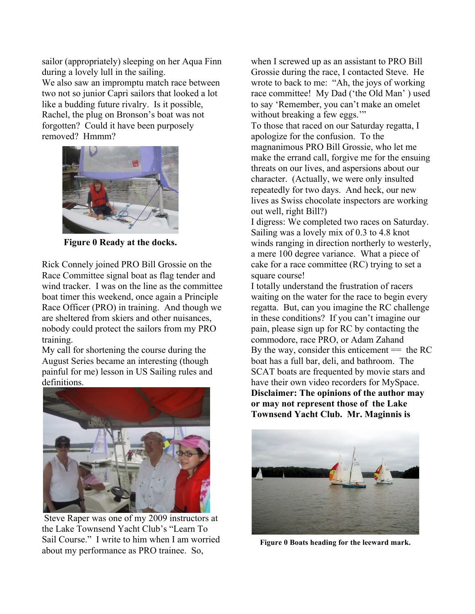sailor (appropriately) sleeping on her Aqua Finn during a lovely lull in the sailing.

We also saw an impromptu match race between two not so junior Capri sailors that looked a lot like a budding future rivalry. Is it possible, Rachel, the plug on Bronson's boat was not forgotten? Could it have been purposely removed? Hmmm?



**Figure 0 Ready at the docks.**

Rick Connely joined PRO Bill Grossie on the Race Committee signal boat as flag tender and wind tracker. I was on the line as the committee boat timer this weekend, once again a Principle Race Officer (PRO) in training. And though we are sheltered from skiers and other nuisances, nobody could protect the sailors from my PRO training.

My call for shortening the course during the August Series became an interesting (though painful for me) lesson in US Sailing rules and definitions.



 Steve Raper was one of my 2009 instructors at the Lake Townsend Yacht Club's "Learn To Sail Course." I write to him when I am worried about my performance as PRO trainee. So,

when I screwed up as an assistant to PRO Bill Grossie during the race, I contacted Steve. He wrote to back to me: "Ah, the joys of working race committee! My Dad ('the Old Man' ) used to say 'Remember, you can't make an omelet without breaking a few eggs." To those that raced on our Saturday regatta, I apologize for the confusion. To the

magnanimous PRO Bill Grossie, who let me make the errand call, forgive me for the ensuing threats on our lives, and aspersions about our character. (Actually, we were only insulted repeatedly for two days. And heck, our new lives as Swiss chocolate inspectors are working out well, right Bill?)

I digress: We completed two races on Saturday. Sailing was a lovely mix of 0.3 to 4.8 knot winds ranging in direction northerly to westerly, a mere 100 degree variance. What a piece of cake for a race committee (RC) trying to set a square course!

I totally understand the frustration of racers waiting on the water for the race to begin every regatta. But, can you imagine the RC challenge in these conditions? If you can't imagine our pain, please sign up for RC by contacting the commodore, race PRO, or Adam Zahand By the way, consider this enticement  $==$  the RC boat has a full bar, deli, and bathroom. The SCAT boats are frequented by movie stars and have their own video recorders for MySpace. **Disclaimer: The opinions of the author may or may not represent those of the Lake Townsend Yacht Club. Mr. Maginnis is** 



**Figure 0 Boats heading for the leeward mark.**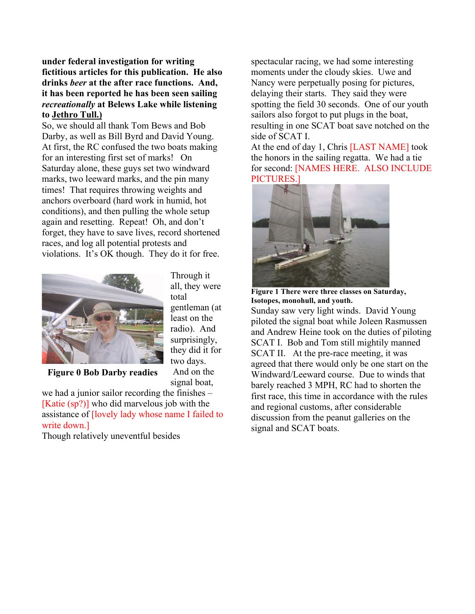**under federal investigation for writing fictitious articles for this publication. He also drinks** *beer* **at the after race functions. And, it has been reported he has been seen sailing**  *recreationally* **at Belews Lake while listening to Jethro Tull.)**

So, we should all thank Tom Bews and Bob Darby, as well as Bill Byrd and David Young. At first, the RC confused the two boats making for an interesting first set of marks! On Saturday alone, these guys set two windward marks, two leeward marks, and the pin many times! That requires throwing weights and anchors overboard (hard work in humid, hot conditions), and then pulling the whole setup again and resetting. Repeat! Oh, and don't forget, they have to save lives, record shortened races, and log all potential protests and violations. It's OK though. They do it for free.



Through it all, they were total gentleman (at least on the radio). And surprisingly, they did it for two days. And on the

signal boat,

**Figure 0 Bob Darby readies** 

we had a junior sailor recording the finishes – [Katie (sp?)] who did marvelous job with the assistance of [lovely lady whose name I failed to write down.]

Though relatively uneventful besides

spectacular racing, we had some interesting moments under the cloudy skies. Uwe and Nancy were perpetually posing for pictures, delaying their starts. They said they were spotting the field 30 seconds. One of our youth sailors also forgot to put plugs in the boat, resulting in one SCAT boat save notched on the side of SCAT I.

At the end of day 1, Chris [LAST NAME] took the honors in the sailing regatta. We had a tie for second: [NAMES HERE. ALSO INCLUDE PICTURES.]



**Figure 1 There were three classes on Saturday, Isotopes, monohull, and youth.**

Sunday saw very light winds. David Young piloted the signal boat while Joleen Rasmussen and Andrew Heine took on the duties of piloting SCAT I. Bob and Tom still mightily manned SCAT II. At the pre-race meeting, it was agreed that there would only be one start on the Windward/Leeward course. Due to winds that barely reached 3 MPH, RC had to shorten the first race, this time in accordance with the rules and regional customs, after considerable discussion from the peanut galleries on the signal and SCAT boats.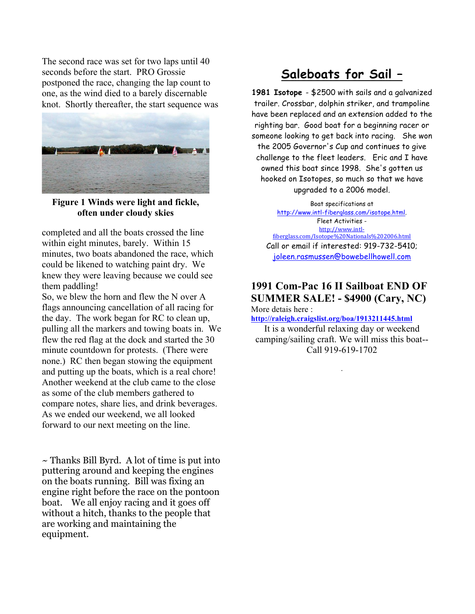The second race was set for two laps until 40 seconds before the start. PRO Grossie postponed the race, changing the lap count to one, as the wind died to a barely discernable knot. Shortly thereafter, the start sequence was



**Figure 1 Winds were light and fickle, often under cloudy skies**

completed and all the boats crossed the line within eight minutes, barely. Within 15 minutes, two boats abandoned the race, which could be likened to watching paint dry. We knew they were leaving because we could see them paddling!

So, we blew the horn and flew the N over A flags announcing cancellation of all racing for the day. The work began for RC to clean up, pulling all the markers and towing boats in. We flew the red flag at the dock and started the 30 minute countdown for protests. (There were none.) RC then began stowing the equipment and putting up the boats, which is a real chore! Another weekend at the club came to the close as some of the club members gathered to compare notes, share lies, and drink beverages. As we ended our weekend, we all looked forward to our next meeting on the line.

 $\sim$  Thanks Bill Byrd. A lot of time is put into puttering around and keeping the engines on the boats running. Bill was fixing an engine right before the race on the pontoon boat. We all enjoy racing and it goes off without a hitch, thanks to the people that are working and maintaining the equipment.

# **Saleboats for Sail –**

**1981 Isotope** - \$2500 with sails and a galvanized trailer. Crossbar, dolphin striker, and trampoline have been replaced and an extension added to the righting bar. Good boat for a beginning racer or someone looking to get back into racing. She won the 2005 Governor's Cup and continues to give challenge to the fleet leaders. Eric and I have owned this boat since 1998. She's gotten us hooked on Isotopes, so much so that we have upgraded to a 2006 model.

Boat specifications at http://www.intl-fiberglass.com/isotope.html. Fleet Activities http://www.intlfiberglass.com/Isotope%20Nationals%202006.html Call or email if interested: 919-732-5410; joleen.rasmussen@bowebellhowell.com

## **1991 Com-Pac 16 II Sailboat END OF SUMMER SALE! - \$4900 (Cary, NC)**

More detais here :

**http://raleigh.craigslist.org/boa/1913211445.html**

It is a wonderful relaxing day or weekend camping/sailing craft. We will miss this boat-- Call 919-619-1702

.